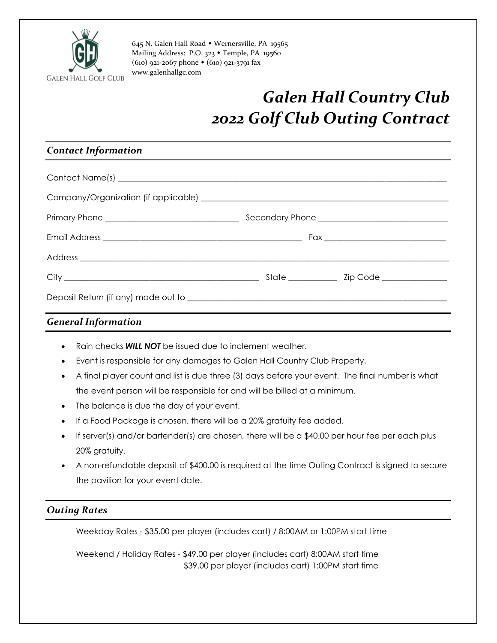

645 N. Galen Hall Road Wernersville, PA 19565 Mailing Address: P.O. 323 • Temple, PA 19560 (610) 921-2067 phone (610) 921-3791 fax [www.galenhallgc.com](http://www.galenhallgc.com/)

## *Galen Hall Country Club 2022 Golf Club Outing Contract*

### *Contact Information*

#### *General Information*

- Rain checks *WILL NOT* be issued due to inclement weather.
- Event is responsible for any damages to Galen Hall Country Club Property.
- A final player count and list is due three (3) days before your event. The final number is what the event person will be responsible for and will be billed at a minimum.
- The balance is due the day of your event.
- If a Food Package is chosen, there will be a 20% gratuity fee added.
- If server(s) and/or bartender(s) are chosen, there will be a \$40.00 per hour fee per each plus 20% gratuity.
- A non-refundable deposit of \$400.00 is required at the time Outing Contract is signed to secure the pavilion for your event date.

#### *Outing Rates*

Weekday Rates - \$35.00 per player (includes cart) / 8:00AM or 1:00PM start time

Weekend / Holiday Rates - \$49.00 per player (includes cart) 8:00AM start time \$39.00 per player (includes cart) 1:00PM start time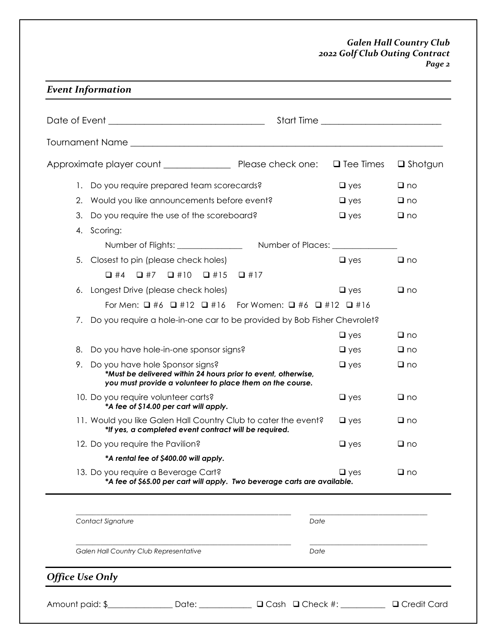#### *Galen Hall Country Club 2022 Golf Club Outing Contract Page 2*

| ×<br>I |
|--------|
|--------|

|                        |                                                                                                                                                                  | $\Box$ Tee Times | $\Box$ Shotgun |
|------------------------|------------------------------------------------------------------------------------------------------------------------------------------------------------------|------------------|----------------|
|                        | 1. Do you require prepared team scorecards?                                                                                                                      | $\Box$ yes       | $\Box$ no      |
| 2.                     | Would you like announcements before event?                                                                                                                       | $\Box$ yes       | $\Box$ no      |
| 3.                     | Do you require the use of the scoreboard?                                                                                                                        | $\Box$ yes       | $\Box$ no      |
| 4.                     | Scoring:                                                                                                                                                         |                  |                |
|                        |                                                                                                                                                                  |                  |                |
|                        | 5. Closest to pin (please check holes)                                                                                                                           | $\Box$ yes       | $\Box$ no      |
|                        | $\begin{array}{ccccccccccccccccc}\Box \#4 & \Box \#7 & \Box \#10 & \Box \#15\end{array}$<br>$\Box$ #17                                                           |                  |                |
|                        | 6. Longest Drive (please check holes)                                                                                                                            | $\Box$ yes       | $\Box$ no      |
|                        | For Men: $\Box$ #6 $\Box$ #12 $\Box$ #16 For Women: $\Box$ #6 $\Box$ #12 $\Box$ #16                                                                              |                  |                |
| $\prime$ .             | Do you require a hole-in-one car to be provided by Bob Fisher Chevrolet?                                                                                         |                  |                |
|                        |                                                                                                                                                                  | $\Box$ yes       | $\Box$ no      |
| 8.                     | Do you have hole-in-one sponsor signs?                                                                                                                           | $\Box$ yes       | $\Box$ no      |
|                        | 9. Do you have hole Sponsor signs?<br>*Must be delivered within 24 hours prior to event, otherwise,<br>you must provide a volunteer to place them on the course. | $\Box$ yes       | $\Box$ no      |
|                        | 10. Do you require volunteer carts?<br>*A fee of \$14.00 per cart will apply.                                                                                    | $\Box$ yes       | $\Box$ no      |
|                        | 11. Would you like Galen Hall Country Club to cater the event?<br>*If yes, a completed event contract will be required.                                          | $\Box$ yes       | $\Box$ no      |
|                        | 12. Do you require the Pavilion?                                                                                                                                 | $\Box$ yes       | $\Box$ no      |
|                        | *A rental fee of \$400.00 will apply.                                                                                                                            |                  |                |
|                        | 13. Do you require a Beverage Cart?<br>*A fee of \$65.00 per cart will apply. Two beverage carts are available.                                                  | $\Box$ yes       | $\Box$ no      |
|                        |                                                                                                                                                                  |                  |                |
|                        | Contact Signature                                                                                                                                                | Date             |                |
|                        | Galen Hall Country Club Representative                                                                                                                           | Date             |                |
| <b>Office Use Only</b> |                                                                                                                                                                  |                  |                |
|                        |                                                                                                                                                                  |                  |                |